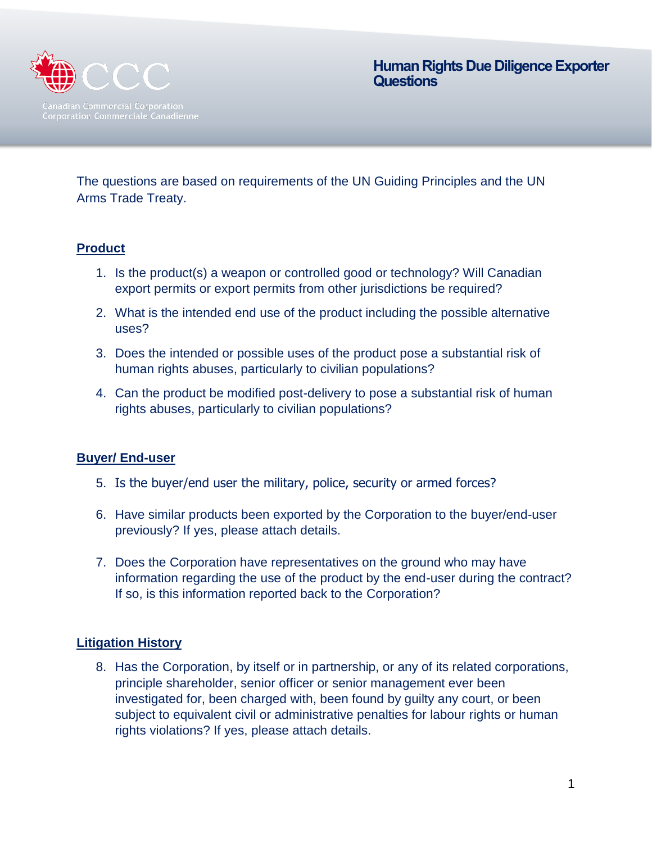

**Human Rights Due Diligence Exporter Questions** 

The questions are based on requirements of the UN Guiding Principles and the UN Arms Trade Treaty.

## **Product**

- 1. Is the product(s) a weapon or controlled good or technology? Will Canadian export permits or export permits from other jurisdictions be required?
- 2. What is the intended end use of the product including the possible alternative uses?
- 3. Does the intended or possible uses of the product pose a substantial risk of human rights abuses, particularly to civilian populations?
- 4. Can the product be modified post-delivery to pose a substantial risk of human rights abuses, particularly to civilian populations?

### **Buyer/ End-user**

- 5. Is the buyer/end user the military, police, security or armed forces?
- 6. Have similar products been exported by the Corporation to the buyer/end-user previously? If yes, please attach details.
- 7. Does the Corporation have representatives on the ground who may have information regarding the use of the product by the end-user during the contract? If so, is this information reported back to the Corporation?

### **Litigation History**

8. Has the Corporation, by itself or in partnership, or any of its related corporations, principle shareholder, senior officer or senior management ever been investigated for, been charged with, been found by guilty any court, or been subject to equivalent civil or administrative penalties for labour rights or human rights violations? If yes, please attach details.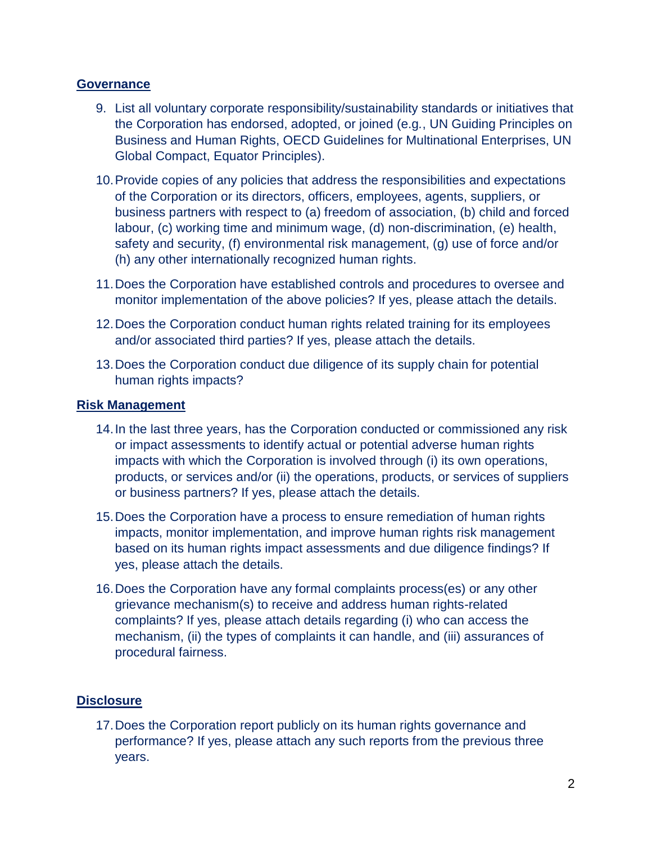### **Governance**

- 9. List all voluntary corporate responsibility/sustainability standards or initiatives that the Corporation has endorsed, adopted, or joined (e.g*.*, UN Guiding Principles on Business and Human Rights, OECD Guidelines for Multinational Enterprises, UN Global Compact, Equator Principles).
- 10.Provide copies of any policies that address the responsibilities and expectations of the Corporation or its directors, officers, employees, agents, suppliers, or business partners with respect to (a) freedom of association, (b) child and forced labour, (c) working time and minimum wage, (d) non-discrimination, (e) health, safety and security, (f) environmental risk management, (g) use of force and/or (h) any other internationally recognized human rights.
- 11.Does the Corporation have established controls and procedures to oversee and monitor implementation of the above policies? If yes, please attach the details.
- 12.Does the Corporation conduct human rights related training for its employees and/or associated third parties? If yes, please attach the details.
- 13.Does the Corporation conduct due diligence of its supply chain for potential human rights impacts?

#### **Risk Management**

- 14.In the last three years, has the Corporation conducted or commissioned any risk or impact assessments to identify actual or potential adverse human rights impacts with which the Corporation is involved through (i) its own operations, products, or services and/or (ii) the operations, products, or services of suppliers or business partners? If yes, please attach the details.
- 15.Does the Corporation have a process to ensure remediation of human rights impacts, monitor implementation, and improve human rights risk management based on its human rights impact assessments and due diligence findings? If yes, please attach the details.
- 16.Does the Corporation have any formal complaints process(es) or any other grievance mechanism(s) to receive and address human rights-related complaints? If yes, please attach details regarding (i) who can access the mechanism, (ii) the types of complaints it can handle, and (iii) assurances of procedural fairness.

### **Disclosure**

17.Does the Corporation report publicly on its human rights governance and performance? If yes, please attach any such reports from the previous three years.